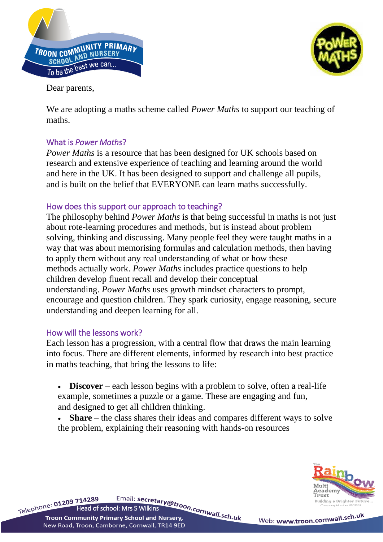



Dear parents,

We are adopting a maths scheme called *Power Maths* to support our teaching of maths.

## What is *Power Maths*?

*Power Maths* is a resource that has been designed for UK schools based on research and extensive experience of teaching and learning around the world and here in the UK. It has been designed to support and challenge all pupils, and is built on the belief that EVERYONE can learn maths successfully.

## How does this support our approach to teaching?

The philosophy behind *Power Maths* is that being successful in maths is not just about rote-learning procedures and methods, but is instead about problem solving, thinking and discussing. Many people feel they were taught maths in a way that was about memorising formulas and calculation methods, then having to apply them without any real understanding of what or how these methods actually work. *Power Maths* includes practice questions to help children develop fluent recall and develop their conceptual understanding. *Power Maths* uses growth mindset characters to prompt, encourage and question children. They spark curiosity, engage reasoning, secure understanding and deepen learning for all.

## How will the lessons work?

Each lesson has a progression, with a central flow that draws the main learning into focus. There are different elements, informed by research into best practice in maths teaching, that bring the lessons to life:

- **Discover** each lesson begins with a problem to solve, often a real-life example, sometimes a puzzle or a game. These are engaging and fun, and designed to get all children thinking.
- **Share** the class shares their ideas and compares different ways to solve the problem, explaining their reasoning with hands-on resources



Telephone: 01209 714289 Email: secretary@troon.cornwall.sch.uk<br>Twee Community Primary School and Nursery, **Troon Community Primary School and Nursery,** New Road, Troon, Camborne, Cornwall, TR14 9ED